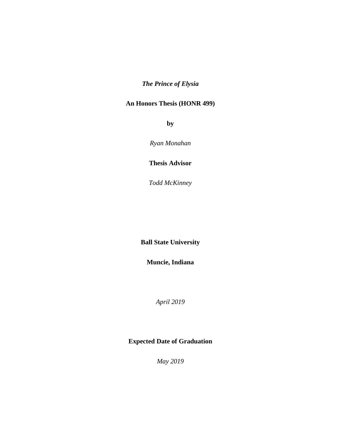# *The Prince of Elysia*

### **An Honors Thesis (HONR 499)**

**by** 

*Ryan Monahan* 

**Thesis Advisor**

*Todd McKinney* 

**Ball State University**

**Muncie, Indiana**

*April 2019* 

## **Expected Date of Graduation**

*May 2019*